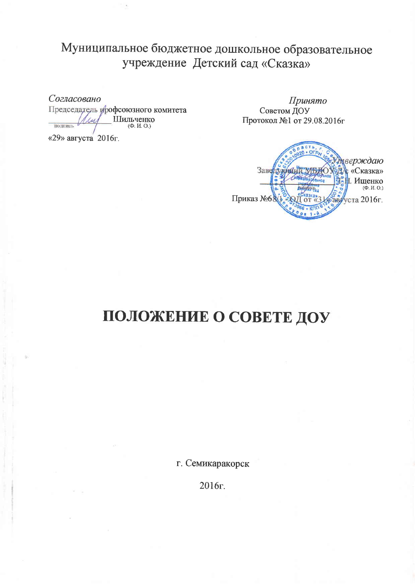## Муниципальное бюджетное дошкольное образовательное учреждение Детский сад «Сказка»

Согласовано

Председатель урофсоюзного комитета Шильченко A su подпись

«29» августа 2016г.

Принято Советом ДОУ Протокол №1 от 29.08.2016г

верждаю Заве «Сказка» Ишенко  $(\dot{\Phi}, H, O.)$ Приказ №68 авруста 2016г.

# ПОЛОЖЕНИЕ О СОВЕТЕ ДОУ

г. Семикаракорск

2016г.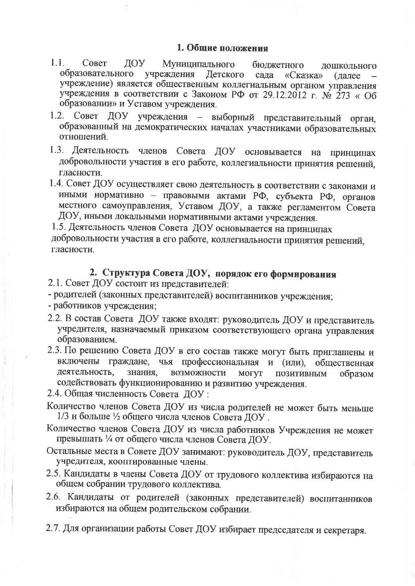- $1.1.$ Совет ДОУ Муниципального бюджетного дошкольного образовательного учреждения Детского сада «Сказка» (далее учреждение) является общественным коллегиальным органом управления учреждения в соответствии с Законом РФ от 29.12.2012 г. № 273 « Об образовании» и Уставом учреждения.
- 1.2. Совет ДОУ учреждения выборный представительный орган, образованный на демократических началах участниками образовательных отношений.
- 1.3. Деятельность членов Совета ДОУ основывается на принципах добровольности участия в его работе, коллегиальности принятия решений, гласности.
- 1.4. Совет ДОУ осуществляет свою деятельность в соответствии с законами и иными нормативно - правовыми актами РФ, субъекта РФ, органов местного самоуправления, Уставом ДОУ, а также регламентом Совета ДОУ, иными локальными нормативными актами учреждения.

1.5. Деятельность членов Совета ДОУ основывается на принципах добровольности участия в его работе, коллегиальности принятия решений, гласности.

## 2. Структура Совета ДОУ, норядок его формирования

- 2.1. Совет ДОУ состоит из представителей:
- родителей (законных представителей) воспитанников учреждения;
- работников учреждения;
- 2.2. В состав Совета ДОУ также входят: руководитель ДОУ и представитель учредителя, назначаемый приказом соответствующего органа управления образованием.
- 2.3. По решению Совета ДОУ в его состав также могут быть приглашены и включены граждане, чья профессиональная и (или), общественная деятельность. знания, возможности **MOFYT** ПОЗИТИВНЫМ образом содействовать функционированию и развитию учреждения.
- 2.4. Общая численность Совета ДОУ:
- Количество членов Совета ДОУ из числа родителей не может быть меньше 1/3 и больше 1/2 общего числа членов Совета ДОУ.
- Количество членов Совета ДОУ из числа работников Учреждения не может превышать ¼ от общего числа членов Совета ДОУ.
- Остальные места в Совете ДОУ занимают: руководитель ДОУ, представитель учредителя, кооптированные члены.
- 2.5. Кандидаты в члены Совета ДОУ от трудового коллектива избираются на общем собрании трудового коллектива.
- 2.6. Кандидаты от родителей (законных представителей) воспитанников избираются на общем родительском собрании.
- 2.7. Для организации работы Совет ДОУ избирает председателя и секретаря.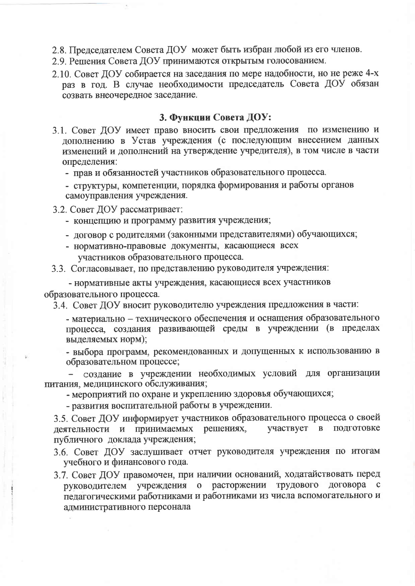- 2.8. Председателем Совета ДОУ может быть избран любой из его членов.
- 2.9. Решения Совета ДОУ принимаются открытым голосованием.
- 2.10. Совет ЛОУ собирается на заседания по мере надобности, но не реже 4-х раз в год. В случае необходимости председатель Совета ДОУ обязан созвать внеочередное заседание.

#### 3. Функции Совета ДОУ:

- 3.1. Совет ДОУ имеет право вносить свои предложения по изменению и дополнению в Устав учреждения (с последующим внесением данных изменений и дополнений на утверждение учредителя), в том числе в части определения:
	- прав и обязанностей участников образовательного процесса.
	- структуры, компетенции, порядка формирования и работы органов самоуправления учреждения.
- 3.2. Совет ДОУ рассматривает:
	- концепцию и программу развития учреждения:
	- договор с родителями (законными представителями) обучающихся;
	- нормативно-правовые документы, касающиеся всех участников образовательного процесса.
- 3.3. Согласовывает, по представлению руководителя учреждения:

- нормативные акты учреждения, касающиеся всех участников образовательного процесса.

3.4. Совет ДОУ вносит руководителю учреждения предложения в части:

- материально - технического обеспечения и оснащения образовательного процесса, создания развивающей среды в учреждении (в пределах выделяемых норм);

- выбора программ, рекомендованных и допущенных к использованию в образовательном процессе;

создание в учреждении необходимых условий для организации питания, медицинского обслуживания;

- мероприятий по охране и укреплению здоровья обучающихся;

- развития воспитательной работы в учреждении.

3.5. Совет ДОУ информирует участников образовательного процесса о своей деятельности и принимаемых решениях, участвует в подготовке публичного доклада учреждения;

- 3.6. Совет ДОУ заслушивает отчет руководителя учреждения по итогам учебного и финансового года.
- 3.7. Совет ДОУ правомочен, при наличии оснований, ходатайствовать перед руководителем учреждения о расторжении трудового логовора с педагогическими работниками и работниками из числа вспомогательного и административного персонала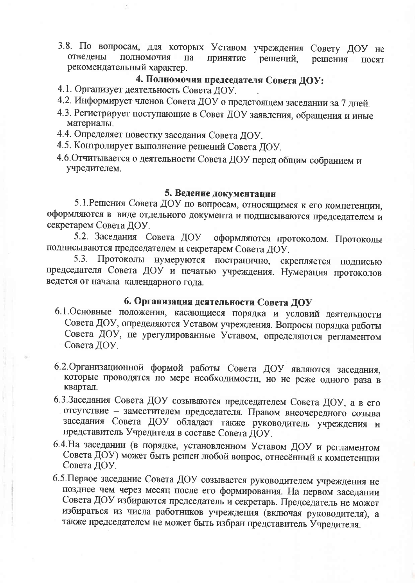3.8. По вопросам, для которых Уставом учреждения Совету ДОУ не отведены полномочия на принятие решений. решения **НОСЯТ** рекомендательный характер.

### 4. Полномочия председателя Совета ДОУ:

- 4.1. Организует деятельность Совета ДОУ.
- 4.2. Информирует членов Совета ДОУ о предстоящем заседании за 7 дней.
- 4.3. Регистрирует поступающие в Совет ДОУ заявления, обращения и иные материалы.
- 4.4. Определяет повестку заседания Совета ДОУ.
- 4.5. Контролирует выполнение решений Совета ДОУ.
- 4.6. Отчитывается о деятельности Совета ДОУ перед общим собранием и учредителем.

#### 5. Ведение документации

5.1. Решения Совета ДОУ по вопросам, относящимся к его компетенции, оформляются в виде отдельного документа и подписываются председателем и секретарем Совета ДОУ.

5.2. Заседания Совета ДОУ оформляются протоколом. Протоколы подписываются председателем и секретарем Совета ДОУ.

5.3. Протоколы нумеруются постранично, скрепляется подписью председателя Совета ДОУ и печатью учреждения. Нумерация протоколов ведется от начала календарного года.

### 6. Организация деятельности Совета ДОУ

- 6.1. Основные положения, касающиеся порядка и условий деятельности Совета ДОУ, определяются Уставом учреждения. Вопросы порядка работы Совета ДОУ, не урегулированные Уставом, определяются регламентом Совета ДОУ.
- 6.2. Организационной формой работы Совета ДОУ являются заседания, которые проводятся по мере необходимости, но не реже одного раза в квартал.
- 6.3. Заседания Совета ДОУ созываются председателем Совета ДОУ, а в его отсутствие - заместителем председателя. Правом внеочередного созыва заседания Совета ДОУ обладает также руководитель учреждения и представитель Учредителя в составе Совета ДОУ.
- 6.4. На заседании (в порядке, установленном Уставом ДОУ и регламентом Совета ДОУ) может быть решен любой вопрос, отнесённый к компетенции Совета ДОУ.
- 6.5. Первое заседание Совета ДОУ созывается руководителем учреждения не позднее чем через месяц после его формирования. На первом заседании Совета ДОУ избираются председатель и секретарь. Председатель не может избираться из числа работников учреждения (включая руководителя), а также председателем не может быть избран представитель Учредителя.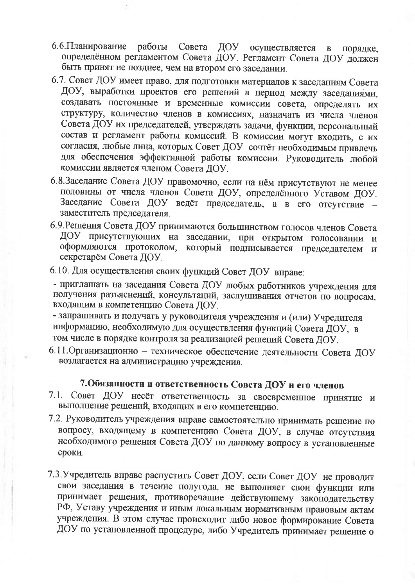- 6.6. Планирование работы Совета ДОУ осуществляется  $\mathbf{B}$ порядке. определённом регламентом Совета ДОУ. Регламент Совета ДОУ должен быть принят не позднее, чем на втором его заседании.
- 6.7. Совет ДОУ имеет право, для подготовки материалов к заседаниям Совета ДОУ, выработки проектов его решений в период между заседаниями, создавать постоянные и временные комиссии совета, определять их структуру, количество членов в комиссиях, назначать из числа членов Совета ДОУ их председателей, утверждать задачи, функции, персональный состав и регламент работы комиссий. В комиссии могут входить, с их согласия, любые лица, которых Совет ДОУ сочтёт необходимым привлечь для обеспечения эффективной работы комиссии. Руководитель любой комиссии является членом Совета ЛОУ.
- 6.8.Заседание Совета ДОУ правомочно, если на нём присутствуют не менее половины от числа членов Совета ДОУ, определённого Уставом ДОУ. Заседание Совета ДОУ ведёт председатель, а в его отсутствие заместитель председателя.
- 6.9. Решения Совета ДОУ принимаются большинством голосов членов Совета ДОУ присутствующих на заседании, при открытом голосовании и оформляются протоколом, который подписывается председателем  $\mathbf{M}$ секретарём Совета ДОУ.
- 6.10. Для осуществления своих функций Совет ДОУ вправе:

- приглашать на заседания Совета ДОУ любых работников учреждения для получения разъяснений, консультаций, заслушивания отчетов по вопросам, входящим в компетенцию Совета ДОУ.

- запрашивать и получать у руководителя учреждения и (или) Учредителя информацию, необходимую для осуществления функций Совета ДОУ, в том числе в порядке контроля за реализацией решений Совета ДОУ.

6.11. Организационно - техническое обеспечение деятельности Совета ДОУ возлагается на администрацию учреждения.

### 7. Обязанности и ответственность Совета ДОУ и его членов

- 7.1. Совет ДОУ несёт ответственность за своевременное принятие и выполнение решений, входящих в его компетенцию.
- 7.2. Руководитель учреждения вправе самостоятельно принимать решение по вопросу, входящему в компетенцию Совета ДОУ, в случае отсутствия необходимого решения Совета ДОУ по данному вопросу в установленные сроки.
- 7.3. Учредитель вправе распустить Совет ДОУ, если Совет ДОУ не проводит свои заседания в течение полугода, не выполняет свои функции или принимает решения, противоречащие действующему законодательству РФ, Уставу учреждения и иным локальным нормативным правовым актам учреждения. В этом случае происходит либо новое формирование Совета ДОУ по установленной процедуре, либо Учредитель принимает решение о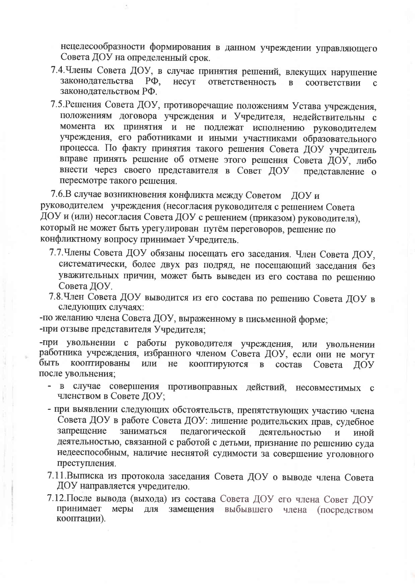нецелесообразности формирования в данном учреждении управляющего Совета ДОУ на определенный срок.

- 7.4. Члены Совета ДОУ, в случае принятия решений, влекущих нарушение законолательства  $P\Phi$ . несут ответственность  $\mathbf{R}$ соответствии  $\mathbf{C}$ законодательством РФ.
- 7.5. Решения Совета ДОУ, противоречащие положениям Устава учреждения, положениям договора учреждения и Учредителя, недействительны с момента их принятия и не подлежат исполнению руководителем учреждения, его работниками и иными участниками образовательного процесса. По факту принятия такого решения Совета ДОУ учредитель вправе принять решение об отмене этого решения Совета ДОУ, либо внести через своего представителя в Совет ДОУ представление о пересмотре такого решения.

7.6.В случае возникновения конфликта между Советом ЛОУ и руководителем учреждения (несогласия руководителя с решением Совета ДОУ и (или) несогласия Совета ДОУ с решением (приказом) руководителя), который не может быть урегулирован путём переговоров, решение по конфликтному вопросу принимает Учредитель.

- 7.7. Члены Совета ДОУ обязаны посещать его заседания. Член Совета ДОУ, систематически, более двух раз подряд, не посещающий заседания без уважительных причин, может быть выведен из его состава по решению Совета ЛОУ.
- 7.8. Член Совета ДОУ выводится из его состава по решению Совета ДОУ в следующих случаях:
- -по желанию члена Совета ДОУ, выраженному в письменной форме; -при отзыве представителя Учредителя:

-при увольнении с работы руководителя учреждения, или увольнении работника учреждения, избранного членом Совета ДОУ, если они не могут кооптированы быть ИЛИ  $He$ кооптируются в состав Совета ЛОУ после увольнения:

- в случае совершения противоправных действий, несовместимых с членством в Совете ДОУ;
- при выявлении следующих обстоятельств, препятствующих участию члена Совета ДОУ в работе Совета ДОУ: лишение родительских прав, судебное запрешение заниматься педагогической деятельностью иной  $\overline{M}$ деятельностью, связанной с работой с детьми, признание по решению суда недееспособным, наличие неснятой судимости за совершение уголовного преступления.
- 7.11. Выписка из протокола заседания Совета ДОУ о выводе члена Совета ДОУ направляется учредителю.
- 7.12. После вывода (выхода) из состава Совета ДОУ его члена Совет ДОУ для замещения выбывшего члена (посредством принимает меры кооптации).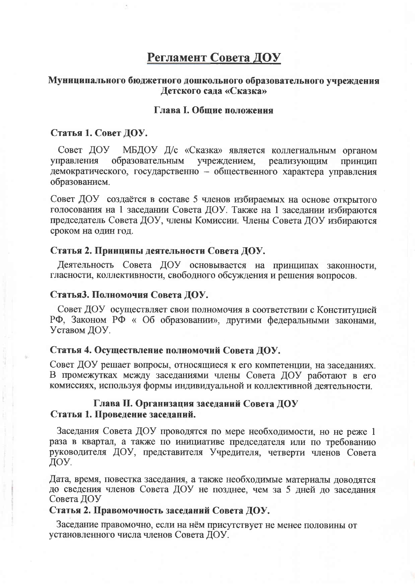### Регламент Совета ДОУ

#### Муниципального бюджетного дошкольного образовательного учреждения Детского сада «Сказка»

#### Глава І. Общие положения

#### Статья 1. Совет ДОУ.

МБДОУ Д/с «Сказка» является коллегиальным органом Совет ДОУ управления образовательным учреждением, реализующим Принцип демократического, государственно - общественного характера управления образованием.

Совет ДОУ создаётся в составе 5 членов избираемых на основе открытого голосования на 1 заседании Совета ДОУ. Также на 1 заседании избираются председатель Совета ДОУ, члены Комиссии. Члены Совета ДОУ избираются сроком на один год.

#### Статья 2. Принципы деятельности Совета ДОУ.

Деятельность Совета ДОУ основывается на принципах законности, гласности, коллективности, свободного обсуждения и решения вопросов.

#### Статья3. Полномочия Совета ДОУ.

Совет ДОУ осуществляет свои полномочия в соответствии с Конституцией РФ, Законом РФ « Об образовании», другими федеральными законами, Уставом ДОУ.

#### Статья 4. Осуществление полномочий Совета ДОУ.

Совет ДОУ решает вопросы, относящиеся к его компетенции, на заседаниях. В промежутках между заседаниями члены Совета ДОУ работают в его комиссиях, используя формы индивидуальной и коллективной леятельности.

#### Глава II. Организация заседаний Совета ДОУ Статья 1. Проведение заседаний.

Заседания Совета ДОУ проводятся по мере необходимости, но не реже 1 раза в квартал, а также по инициативе председателя или по требованию руководителя ДОУ, представителя Учредителя, четверти членов Совета ЛОУ.

Дата, время, повестка заседания, а также необходимые материалы доводятся до сведения членов Совета ДОУ не позднее, чем за 5 дней до заседания Совета ДОУ

#### Статья 2. Правомочность заседаний Совета ДОУ.

Заседание правомочно, если на нём присутствует не менее половины от установленного числа членов Совета ДОУ.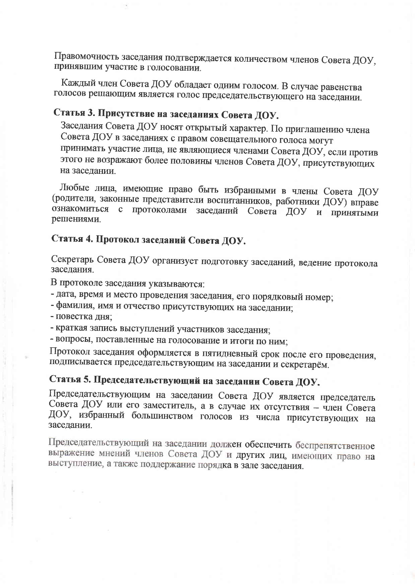Правомочность заседания подтверждается количеством членов Совета ДОУ, принявшим участие в голосовании.

Каждый член Совета ДОУ обладает одним голосом. В случае равенства голосов решающим является голос председательствующего на заседании.

## Статья 3. Присутствие на заседаниях Совета ДОУ.

Заседания Совета ДОУ носят открытый характер. По приглашению члена Совета ДОУ в заседаниях с правом совещательного голоса могут принимать участие лица, не являющиеся членами Совета ДОУ, если против этого не возражают более половины членов Совета ДОУ, присутствующих на заседании.

Любые лица, имеющие право быть избранными в члены Совета ДОУ (родители, законные представители воспитанников, работники ДОУ) вправе ознакомиться с протоколами заседаний Совета ДОУ и принятыми решениями.

## Статья 4. Протокол заседаний Совета ДОУ.

Секретарь Совета ДОУ организует подготовку заседаний, ведение протокола заседания.

В протоколе заседания указываются:

- дата, время и место проведения заседания, его порядковый номер;

- фамилия, имя и отчество присутствующих на заседании;
- повестка дня:
- краткая запись выступлений участников заседания;

- вопросы, поставленные на голосование и итоги по ним;

Протокол заседания оформляется в пятидневный срок после его проведения, подписывается председательствующим на заседании и секретарём.

## Статья 5. Председательствующий на заседании Совета ДОУ.

Председательствующим на заседании Совета ДОУ является председатель Совета ДОУ или его заместитель, а в случае их отсутствия - член Совета ДОУ, избранный большинством голосов из числа присутствующих на заседании.

Председательствующий на заседании должен обеспечить беспрепятственное выражение мнений членов Совета ДОУ и других лиц, имеющих право на выступление, а также поддержание порядка в зале заседания.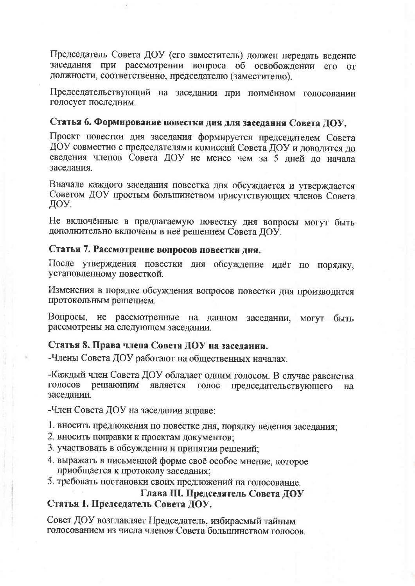Председатель Совета ДОУ (его заместитель) должен передать ведение заседания при рассмотрении вопроса об освобождении его от должности, соответственно, председателю (заместителю).

Председательствующий на заседании при поимённом голосовании голосует последним.

### Статья 6. Формирование повестки дня для заседания Совета ДОУ.

Проект повестки дня заседания формируется председателем Совета ДОУ совместно с председателями комиссий Совета ДОУ и доводится до сведения членов Совета ДОУ не менее чем за 5 дней до начала заселания.

Вначале каждого заседания повестка дня обсуждается и утверждается Советом ДОУ простым большинством присутствующих членов Совета ДОУ.

Не включённые в предлагаемую повестку дня вопросы могут быть дополнительно включены в неё решением Совета ДОУ.

#### Статья 7. Рассмотрение вопросов повестки дня.

После утверждения повестки дня обсуждение идёт по порядку, установленному повесткой.

Изменения в порядке обсуждения вопросов повестки дня производится протокольным решением.

Вопросы, не рассмотренные на данном заседании, могут быть рассмотрены на следующем заседании.

#### Статья 8. Права члена Совета ДОУ на заседании.

-Члены Совета ДОУ работают на общественных началах.

-Каждый член Совета ДОУ обладает одним голосом. В случае равенства решающим является голос председательствующего голосов **H<sub>a</sub>** заседании.

-Член Совета ДОУ на заседании вправе:

1. вносить предложения по повестке дня, порядку ведения заседания;

- 2. вносить поправки к проектам документов;
- 3. участвовать в обсуждении и принятии решений;
- 4. выражать в письменной форме своё особое мнение, которое приобщается к протоколу заседания;
- 5. требовать постановки своих предложений на голосование.

#### Глава III. Председатель Совета ДОУ Статья 1. Председатель Совета ДОУ.

Совет ДОУ возглавляет Председатель, избираемый тайным голосованием из числа членов Совета большинством голосов.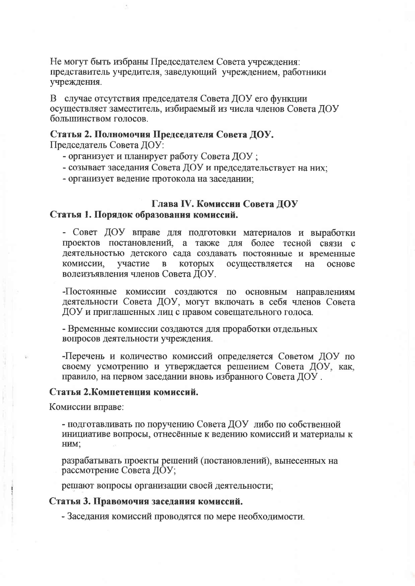Не могут быть избраны Председателем Совета учреждения: представитель учредителя, заведующий учреждением, работники учреждения.

В случае отсутствия председателя Совета ДОУ его функции осуществляет заместитель, избираемый из числа членов Совета ДОУ большинством голосов.

#### Статья 2. Полномочия Председателя Совета ДОУ.

Председатель Совета ДОУ:

- организует и планирует работу Совета ДОУ:
- созывает заседания Совета ДОУ и председательствует на них:
- организует ведение протокола на заседании;

#### Глава IV. Комиссии Совета ДОУ Статья 1. Порядок образования комиссий.

- Совет ДОУ вправе для подготовки материалов и выработки проектов постановлений, а также для более тесной связи с деятельностью детского сада создавать постоянные и временные участие комиссии,  $\mathbf{B}$ которых осуществляется на основе волеизъявления членов Совета ДОУ.

-Постоянные комиссии создаются по основным направлениям деятельности Совета ДОУ, могут включать в себя членов Совета ДОУ и приглашенных лиц с правом совещательного голоса.

- Временные комиссии создаются для проработки отдельных вопросов деятельности учреждения.

-Перечень и количество комиссий определяется Советом ДОУ по своему усмотрению и утверждается решением Совета ДОУ, как, правило, на первом заседании вновь избранного Совета ДОУ.

#### Статья 2. Компетенция комиссий.

Комиссии вправе:

- подготавливать по поручению Совета ДОУ либо по собственной инициативе вопросы, отнесённые к ведению комиссий и материалы к HIMI:

разрабатывать проекты решений (постановлений), вынесенных на рассмотрение Совета ДОУ;

решают вопросы организации своей деятельности;

#### Статья 3. Правомочия заседания комиссий.

- Заседания комиссий проводятся по мере необходимости.